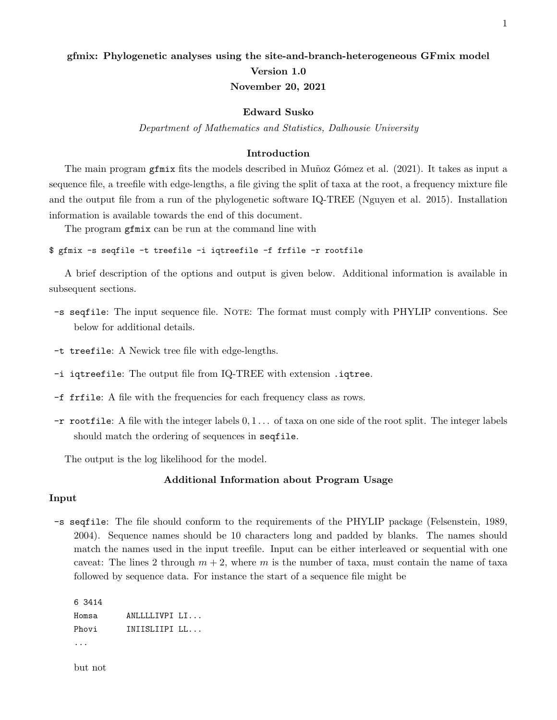# gfmix: Phylogenetic analyses using the site-and-branch-heterogeneous GFmix model Version 1.0 November 20, 2021

# Edward Susko

Department of Mathematics and Statistics, Dalhousie University

#### Introduction

The main program get fits the models described in Muntoz Gómez et al. (2021). It takes as input a sequence file, a treefile with edge-lengths, a file giving the split of taxa at the root, a frequency mixture file and the output file from a run of the phylogenetic software IQ-TREE (Nguyen et al. 2015). Installation information is available towards the end of this document.

The program gfmix can be run at the command line with

\$ gfmix -s seqfile -t treefile -i iqtreefile -f frfile -r rootfile

A brief description of the options and output is given below. Additional information is available in subsequent sections.

- -s seqfile: The input sequence file. Note: The format must comply with PHYLIP conventions. See below for additional details.
- -t treefile: A Newick tree file with edge-lengths.
- -i iqtreefile: The output file from IQ-TREE with extension .iqtree.
- -f frfile: A file with the frequencies for each frequency class as rows.
- $-r$  rootfile: A file with the integer labels  $0, 1, \ldots$  of taxa on one side of the root split. The integer labels should match the ordering of sequences in seqfile.

The output is the log likelihood for the model.

#### Additional Information about Program Usage

#### Input

-s seqfile: The file should conform to the requirements of the PHYLIP package (Felsenstein, 1989, 2004). Sequence names should be 10 characters long and padded by blanks. The names should match the names used in the input treefile. Input can be either interleaved or sequential with one caveat: The lines 2 through  $m + 2$ , where m is the number of taxa, must contain the name of taxa followed by sequence data. For instance the start of a sequence file might be

```
6 3414
Homsa ANLLLLIVPI LI...
Phovi INIISLIIPI LL...
...
```
but not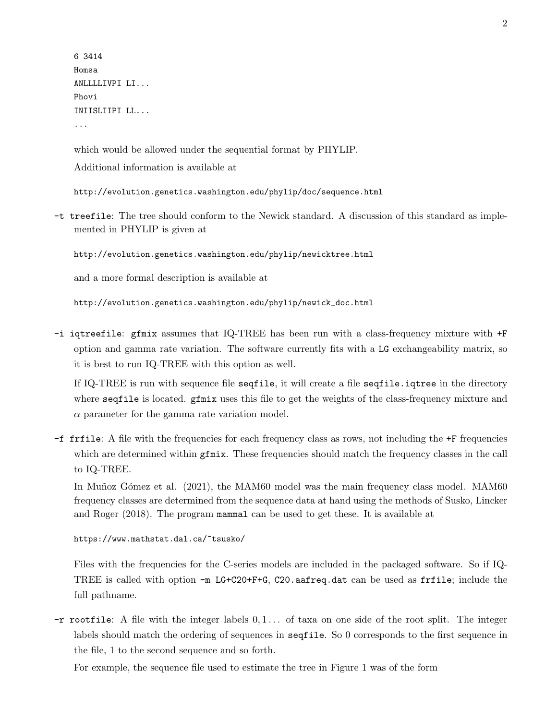6 3414 Homsa ANLLLLIVPI LI... Phovi INIISLIIPI LL... ...

which would be allowed under the sequential format by PHYLIP. Additional information is available at

http://evolution.genetics.washington.edu/phylip/doc/sequence.html

-t treefile: The tree should conform to the Newick standard. A discussion of this standard as implemented in PHYLIP is given at

http://evolution.genetics.washington.edu/phylip/newicktree.html

and a more formal description is available at

http://evolution.genetics.washington.edu/phylip/newick\_doc.html

-i iqtreefile: gfmix assumes that IQ-TREE has been run with a class-frequency mixture with +F option and gamma rate variation. The software currently fits with a LG exchangeability matrix, so it is best to run IQ-TREE with this option as well.

If IQ-TREE is run with sequence file seqfile, it will create a file seqfile.iqtree in the directory where seqfile is located. gfmix uses this file to get the weights of the class-frequency mixture and  $\alpha$  parameter for the gamma rate variation model.

-f frfile: A file with the frequencies for each frequency class as rows, not including the +F frequencies which are determined within gfmix. These frequencies should match the frequency classes in the call to IQ-TREE.

In Munoz Gómez et al. (2021), the MAM60 model was the main frequency class model. MAM60 frequency classes are determined from the sequence data at hand using the methods of Susko, Lincker and Roger (2018). The program mammal can be used to get these. It is available at

https://www.mathstat.dal.ca/~tsusko/

Files with the frequencies for the C-series models are included in the packaged software. So if IQ-TREE is called with option -m LG+C20+F+G, C20.aafreq.dat can be used as frfile; include the full pathname.

 $-r$  rootfile: A file with the integer labels  $0, 1, \ldots$  of taxa on one side of the root split. The integer labels should match the ordering of sequences in seqfile. So 0 corresponds to the first sequence in the file, 1 to the second sequence and so forth.

For example, the sequence file used to estimate the tree in Figure 1 was of the form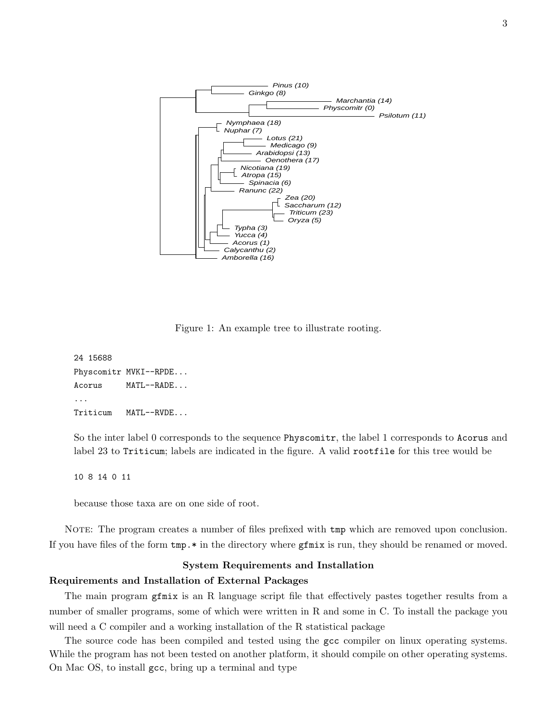

Figure 1: An example tree to illustrate rooting.

```
24 15688
Physcomitr MVKI--RPDE...
Acorus MATL--RADE...
...
Triticum MATL--RVDE...
```
So the inter label 0 corresponds to the sequence Physcomitr, the label 1 corresponds to Acorus and label 23 to Triticum; labels are indicated in the figure. A valid rootfile for this tree would be

10 8 14 0 11

because those taxa are on one side of root.

NOTE: The program creates a number of files prefixed with tmp which are removed upon conclusion. If you have files of the form tmp.\* in the directory where gfmix is run, they should be renamed or moved.

#### System Requirements and Installation

### Requirements and Installation of External Packages

The main program gfmix is an R language script file that effectively pastes together results from a number of smaller programs, some of which were written in R and some in C. To install the package you will need a C compiler and a working installation of the R statistical package

The source code has been compiled and tested using the gcc compiler on linux operating systems. While the program has not been tested on another platform, it should compile on other operating systems. On Mac OS, to install gcc, bring up a terminal and type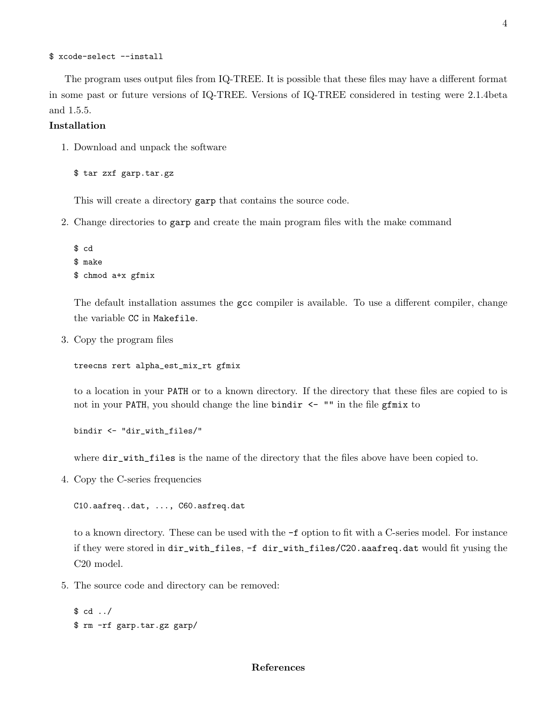```
$ xcode-select --install
```
The program uses output files from IQ-TREE. It is possible that these files may have a different format in some past or future versions of IQ-TREE. Versions of IQ-TREE considered in testing were 2.1.4beta and 1.5.5.

# Installation

1. Download and unpack the software

\$ tar zxf garp.tar.gz

This will create a directory garp that contains the source code.

2. Change directories to garp and create the main program files with the make command

```
$ cd
$ make
$ chmod a+x gfmix
```
The default installation assumes the gcc compiler is available. To use a different compiler, change the variable CC in Makefile.

3. Copy the program files

```
treecns rert alpha_est_mix_rt gfmix
```
to a location in your PATH or to a known directory. If the directory that these files are copied to is not in your PATH, you should change the line bindir <- "" in the file gfmix to

bindir <- "dir\_with\_files/"

where  $dir\_with\_files$  is the name of the directory that the files above have been copied to.

4. Copy the C-series frequencies

C10.aafreq..dat, ..., C60.asfreq.dat

to a known directory. These can be used with the -f option to fit with a C-series model. For instance if they were stored in dir\_with\_files, -f dir\_with\_files/C20.aaafreq.dat would fit yusing the C20 model.

5. The source code and directory can be removed:

```
$ cd ../
$ rm -rf garp.tar.gz garp/
```
## References